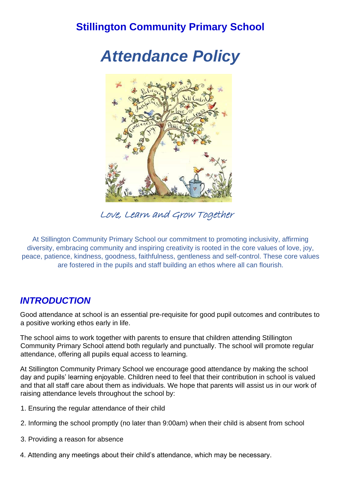# **Stillington Community Primary School**

*Attendance Policy*



Love, Learn and Grow Together

At Stillington Community Primary School our commitment to promoting inclusivity, affirming diversity, embracing community and inspiring creativity is rooted in the core values of love, joy, peace, patience, kindness, goodness, faithfulness, gentleness and self-control. These core values are fostered in the pupils and staff building an ethos where all can flourish.

### *INTRODUCTION*

Good attendance at school is an essential pre-requisite for good pupil outcomes and contributes to a positive working ethos early in life.

The school aims to work together with parents to ensure that children attending Stillington Community Primary School attend both regularly and punctually. The school will promote regular attendance, offering all pupils equal access to learning.

At Stillington Community Primary School we encourage good attendance by making the school day and pupils' learning enjoyable. Children need to feel that their contribution in school is valued and that all staff care about them as individuals. We hope that parents will assist us in our work of raising attendance levels throughout the school by:

- 1. Ensuring the regular attendance of their child
- 2. Informing the school promptly (no later than 9:00am) when their child is absent from school
- 3. Providing a reason for absence
- 4. Attending any meetings about their child's attendance, which may be necessary.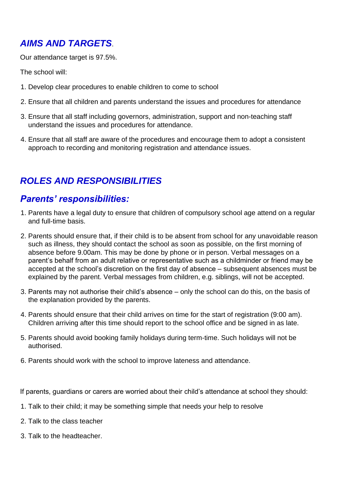# *AIMS AND TARGETS*.

Our attendance target is 97.5%.

The school will:

- 1. Develop clear procedures to enable children to come to school
- 2. Ensure that all children and parents understand the issues and procedures for attendance
- 3. Ensure that all staff including governors, administration, support and non-teaching staff understand the issues and procedures for attendance.
- 4. Ensure that all staff are aware of the procedures and encourage them to adopt a consistent approach to recording and monitoring registration and attendance issues.

## *ROLES AND RESPONSIBILITIES*

### *Parents' responsibilities:*

- 1. Parents have a legal duty to ensure that children of compulsory school age attend on a regular and full-time basis.
- 2. Parents should ensure that, if their child is to be absent from school for any unavoidable reason such as illness, they should contact the school as soon as possible, on the first morning of absence before 9.00am. This may be done by phone or in person. Verbal messages on a parent's behalf from an adult relative or representative such as a childminder or friend may be accepted at the school's discretion on the first day of absence – subsequent absences must be explained by the parent. Verbal messages from children, e.g. siblings, will not be accepted.
- 3. Parents may not authorise their child's absence only the school can do this, on the basis of the explanation provided by the parents.
- 4. Parents should ensure that their child arrives on time for the start of registration (9:00 am). Children arriving after this time should report to the school office and be signed in as late.
- 5. Parents should avoid booking family holidays during term-time. Such holidays will not be authorised.
- 6. Parents should work with the school to improve lateness and attendance.

If parents, guardians or carers are worried about their child's attendance at school they should:

- 1. Talk to their child; it may be something simple that needs your help to resolve
- 2. Talk to the class teacher
- 3. Talk to the headteacher.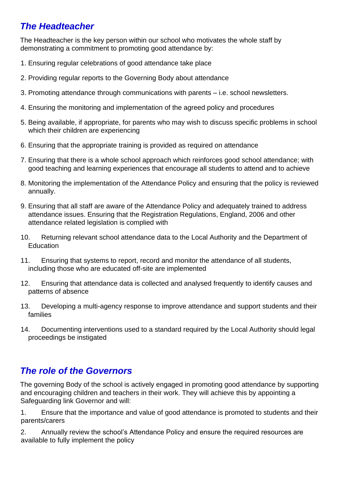## *The Headteacher*

The Headteacher is the key person within our school who motivates the whole staff by demonstrating a commitment to promoting good attendance by:

- 1. Ensuring regular celebrations of good attendance take place
- 2. Providing regular reports to the Governing Body about attendance
- 3. Promoting attendance through communications with parents i.e. school newsletters.
- 4. Ensuring the monitoring and implementation of the agreed policy and procedures
- 5. Being available, if appropriate, for parents who may wish to discuss specific problems in school which their children are experiencing
- 6. Ensuring that the appropriate training is provided as required on attendance
- 7. Ensuring that there is a whole school approach which reinforces good school attendance; with good teaching and learning experiences that encourage all students to attend and to achieve
- 8. Monitoring the implementation of the Attendance Policy and ensuring that the policy is reviewed annually.
- 9. Ensuring that all staff are aware of the Attendance Policy and adequately trained to address attendance issues. Ensuring that the Registration Regulations, England, 2006 and other attendance related legislation is complied with
- 10. Returning relevant school attendance data to the Local Authority and the Department of Education
- 11. Ensuring that systems to report, record and monitor the attendance of all students, including those who are educated off-site are implemented
- 12. Ensuring that attendance data is collected and analysed frequently to identify causes and patterns of absence
- 13. Developing a multi-agency response to improve attendance and support students and their families
- 14. Documenting interventions used to a standard required by the Local Authority should legal proceedings be instigated

## *The role of the Governors*

The governing Body of the school is actively engaged in promoting good attendance by supporting and encouraging children and teachers in their work. They will achieve this by appointing a Safeguarding link Governor and will:

1. Ensure that the importance and value of good attendance is promoted to students and their parents/carers

2. Annually review the school's Attendance Policy and ensure the required resources are available to fully implement the policy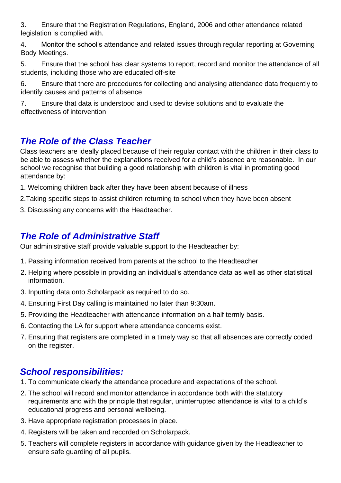3. Ensure that the Registration Regulations, England, 2006 and other attendance related legislation is complied with.

4. Monitor the school's attendance and related issues through regular reporting at Governing Body Meetings.

5. Ensure that the school has clear systems to report, record and monitor the attendance of all students, including those who are educated off-site

6. Ensure that there are procedures for collecting and analysing attendance data frequently to identify causes and patterns of absence

7. Ensure that data is understood and used to devise solutions and to evaluate the effectiveness of intervention

# *The Role of the Class Teacher*

Class teachers are ideally placed because of their regular contact with the children in their class to be able to assess whether the explanations received for a child's absence are reasonable. In our school we recognise that building a good relationship with children is vital in promoting good attendance by:

1. Welcoming children back after they have been absent because of illness

2.Taking specific steps to assist children returning to school when they have been absent

3. Discussing any concerns with the Headteacher.

## *The Role of Administrative Staff*

Our administrative staff provide valuable support to the Headteacher by:

- 1. Passing information received from parents at the school to the Headteacher
- 2. Helping where possible in providing an individual's attendance data as well as other statistical information.
- 3. Inputting data onto Scholarpack as required to do so.
- 4. Ensuring First Day calling is maintained no later than 9:30am.
- 5. Providing the Headteacher with attendance information on a half termly basis.
- 6. Contacting the LA for support where attendance concerns exist.
- 7. Ensuring that registers are completed in a timely way so that all absences are correctly coded on the register.

### *School responsibilities:*

- 1. To communicate clearly the attendance procedure and expectations of the school.
- 2. The school will record and monitor attendance in accordance both with the statutory requirements and with the principle that regular, uninterrupted attendance is vital to a child's educational progress and personal wellbeing.
- 3. Have appropriate registration processes in place.
- 4. Registers will be taken and recorded on Scholarpack.
- 5. Teachers will complete registers in accordance with guidance given by the Headteacher to ensure safe guarding of all pupils.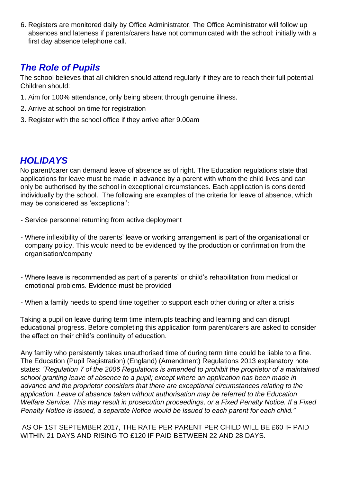6. Registers are monitored daily by Office Administrator. The Office Administrator will follow up absences and lateness if parents/carers have not communicated with the school: initially with a first day absence telephone call.

## *The Role of Pupils*

The school believes that all children should attend regularly if they are to reach their full potential. Children should:

- 1. Aim for 100% attendance, only being absent through genuine illness.
- 2. Arrive at school on time for registration
- 3. Register with the school office if they arrive after 9.00am

#### *HOLIDAYS*

No parent/carer can demand leave of absence as of right. The Education regulations state that applications for leave must be made in advance by a parent with whom the child lives and can only be authorised by the school in exceptional circumstances. Each application is considered individually by the school. The following are examples of the criteria for leave of absence, which may be considered as 'exceptional':

- Service personnel returning from active deployment
- Where inflexibility of the parents' leave or working arrangement is part of the organisational or company policy. This would need to be evidenced by the production or confirmation from the organisation/company
- Where leave is recommended as part of a parents' or child's rehabilitation from medical or emotional problems. Evidence must be provided
- When a family needs to spend time together to support each other during or after a crisis

Taking a pupil on leave during term time interrupts teaching and learning and can disrupt educational progress. Before completing this application form parent/carers are asked to consider the effect on their child's continuity of education.

Any family who persistently takes unauthorised time of during term time could be liable to a fine. The Education (Pupil Registration) (England) (Amendment) Regulations 2013 explanatory note states: *"Regulation 7 of the 2006 Regulations is amended to prohibit the proprietor of a maintained school granting leave of absence to a pupil; except where an application has been made in advance and the proprietor considers that there are exceptional circumstances relating to the application. Leave of absence taken without authorisation may be referred to the Education Welfare Service. This may result in prosecution proceedings, or a Fixed Penalty Notice. If a Fixed Penalty Notice is issued, a separate Notice would be issued to each parent for each child."*

AS OF 1ST SEPTEMBER 2017, THE RATE PER PARENT PER CHILD WILL BE £60 IF PAID WITHIN 21 DAYS AND RISING TO £120 IF PAID BETWEEN 22 AND 28 DAYS.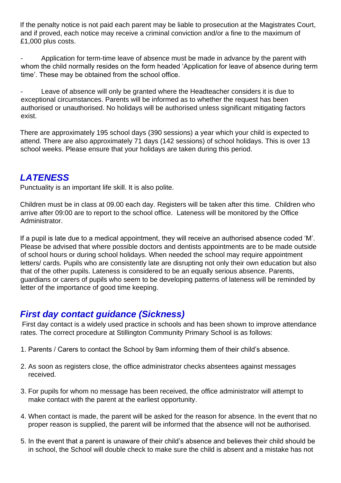If the penalty notice is not paid each parent may be liable to prosecution at the Magistrates Court, and if proved, each notice may receive a criminal conviction and/or a fine to the maximum of £1,000 plus costs.

Application for term-time leave of absence must be made in advance by the parent with whom the child normally resides on the form headed 'Application for leave of absence during term time'. These may be obtained from the school office.

Leave of absence will only be granted where the Headteacher considers it is due to exceptional circumstances. Parents will be informed as to whether the request has been authorised or unauthorised. No holidays will be authorised unless significant mitigating factors exist.

There are approximately 195 school days (390 sessions) a year which your child is expected to attend. There are also approximately 71 days (142 sessions) of school holidays. This is over 13 school weeks. Please ensure that your holidays are taken during this period.

#### *LATENESS*

Punctuality is an important life skill. It is also polite.

Children must be in class at 09.00 each day. Registers will be taken after this time. Children who arrive after 09:00 are to report to the school office. Lateness will be monitored by the Office Administrator.

If a pupil is late due to a medical appointment, they will receive an authorised absence coded 'M'. Please be advised that where possible doctors and dentists appointments are to be made outside of school hours or during school holidays. When needed the school may require appointment letters/ cards. Pupils who are consistently late are disrupting not only their own education but also that of the other pupils. Lateness is considered to be an equally serious absence. Parents, guardians or carers of pupils who seem to be developing patterns of lateness will be reminded by letter of the importance of good time keeping.

### *First day contact guidance (Sickness)*

First day contact is a widely used practice in schools and has been shown to improve attendance rates. The correct procedure at Stillington Community Primary School is as follows:

- 1. Parents / Carers to contact the School by 9am informing them of their child's absence.
- 2. As soon as registers close, the office administrator checks absentees against messages received.
- 3. For pupils for whom no message has been received, the office administrator will attempt to make contact with the parent at the earliest opportunity.
- 4. When contact is made, the parent will be asked for the reason for absence. In the event that no proper reason is supplied, the parent will be informed that the absence will not be authorised.
- 5. In the event that a parent is unaware of their child's absence and believes their child should be in school, the School will double check to make sure the child is absent and a mistake has not